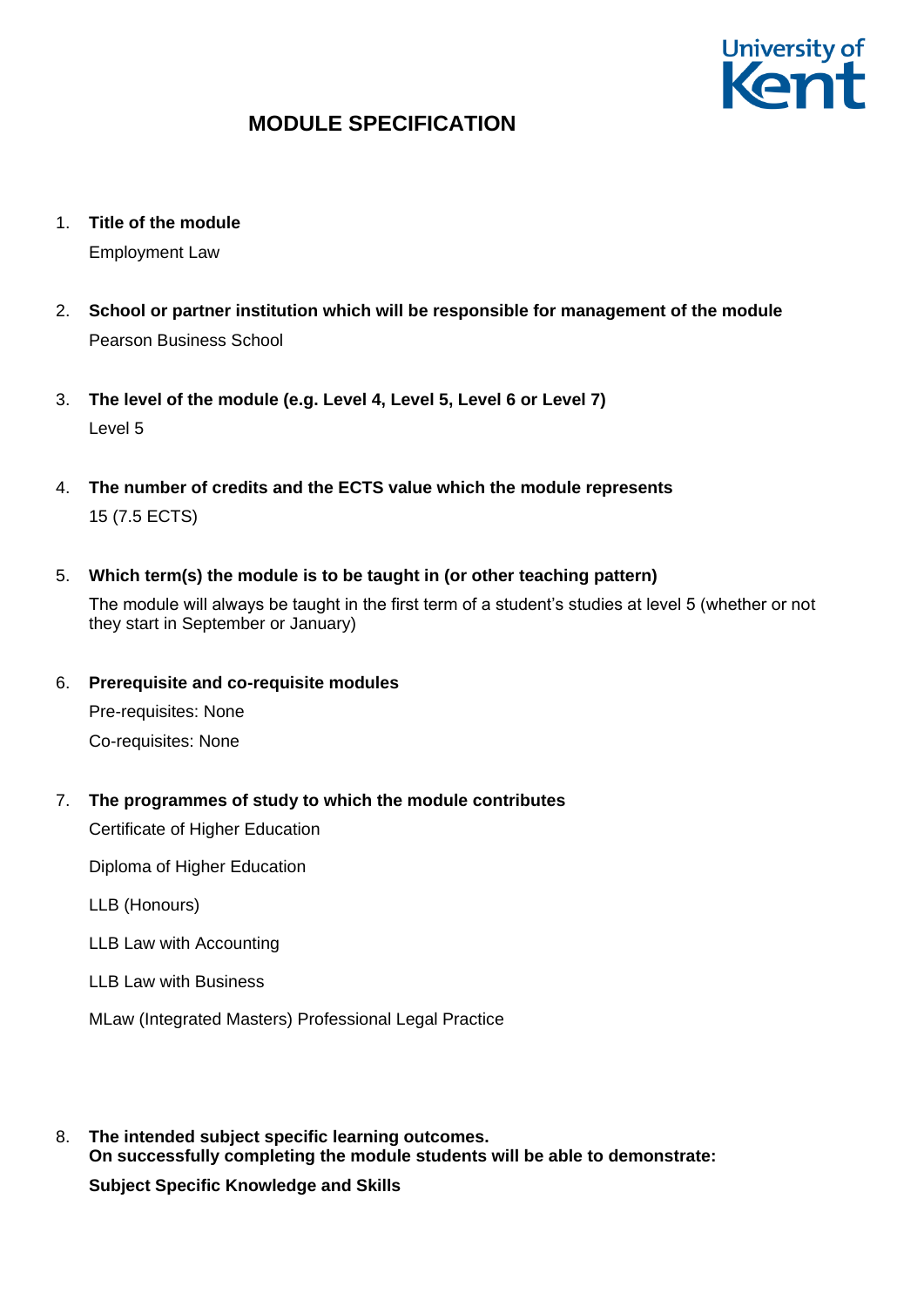

- 1. **Title of the module** Employment Law
- 2. **School or partner institution which will be responsible for management of the module** Pearson Business School
- 3. **The level of the module (e.g. Level 4, Level 5, Level 6 or Level 7)** Level 5
- 4. **The number of credits and the ECTS value which the module represents**  15 (7.5 ECTS)
- 5. **Which term(s) the module is to be taught in (or other teaching pattern)**

The module will always be taught in the first term of a student's studies at level 5 (whether or not they start in September or January)

6. **Prerequisite and co-requisite modules**

Pre-requisites: None Co-requisites: None

7. **The programmes of study to which the module contributes**

Certificate of Higher Education

Diploma of Higher Education

LLB (Honours)

LLB Law with Accounting

LLB Law with Business

MLaw (Integrated Masters) Professional Legal Practice

8. **The intended subject specific learning outcomes. On successfully completing the module students will be able to demonstrate: Subject Specific Knowledge and Skills**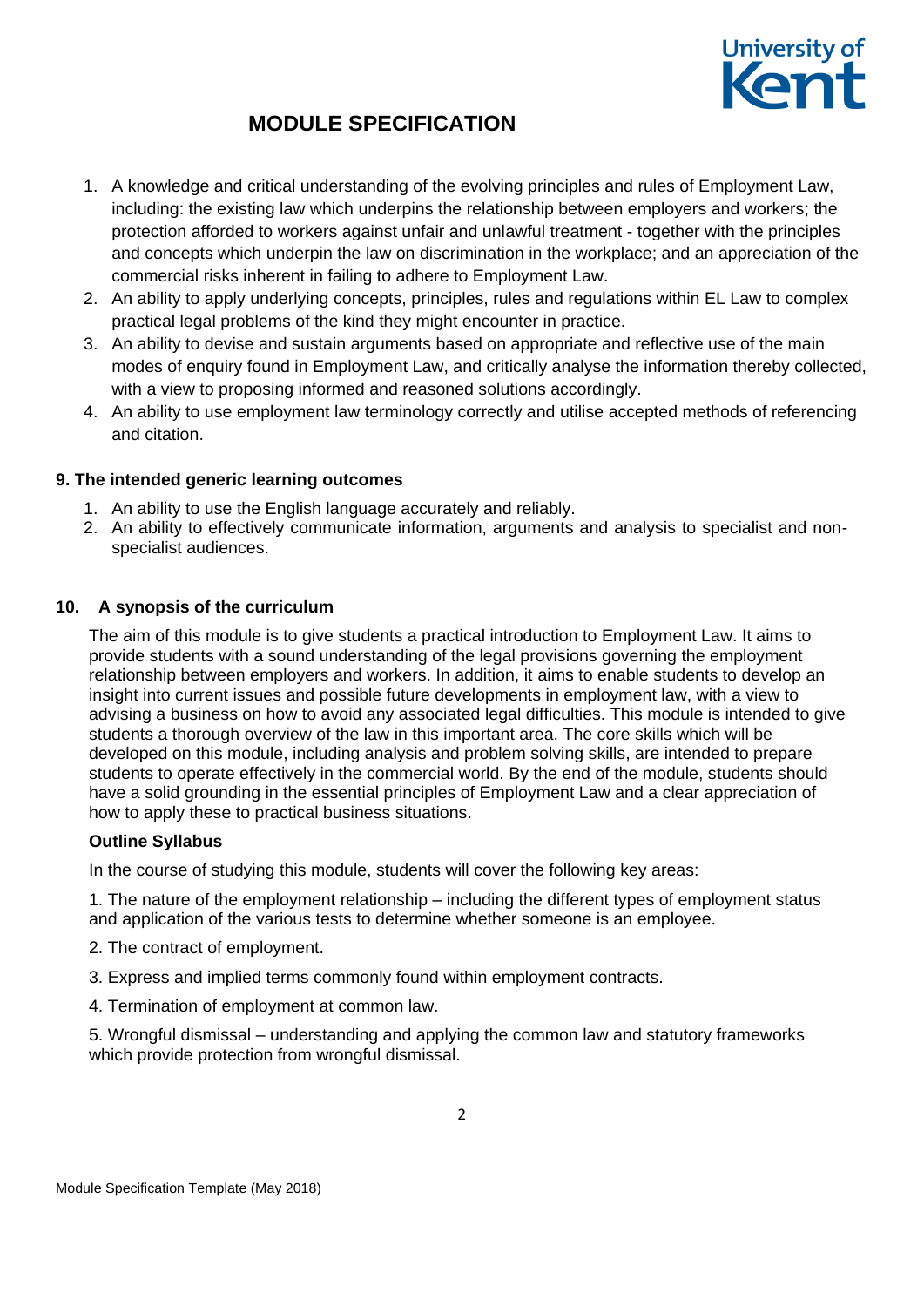

- 1. A knowledge and critical understanding of the evolving principles and rules of Employment Law, including: the existing law which underpins the relationship between employers and workers; the protection afforded to workers against unfair and unlawful treatment - together with the principles and concepts which underpin the law on discrimination in the workplace; and an appreciation of the commercial risks inherent in failing to adhere to Employment Law.
- 2. An ability to apply underlying concepts, principles, rules and regulations within EL Law to complex practical legal problems of the kind they might encounter in practice.
- 3. An ability to devise and sustain arguments based on appropriate and reflective use of the main modes of enquiry found in Employment Law, and critically analyse the information thereby collected, with a view to proposing informed and reasoned solutions accordingly.
- 4. An ability to use employment law terminology correctly and utilise accepted methods of referencing and citation.

### **9. The intended generic learning outcomes**

- 1. An ability to use the English language accurately and reliably.
- 2. An ability to effectively communicate information, arguments and analysis to specialist and nonspecialist audiences.

### **10. A synopsis of the curriculum**

The aim of this module is to give students a practical introduction to Employment Law. It aims to provide students with a sound understanding of the legal provisions governing the employment relationship between employers and workers. In addition, it aims to enable students to develop an insight into current issues and possible future developments in employment law, with a view to advising a business on how to avoid any associated legal difficulties. This module is intended to give students a thorough overview of the law in this important area. The core skills which will be developed on this module, including analysis and problem solving skills, are intended to prepare students to operate effectively in the commercial world. By the end of the module, students should have a solid grounding in the essential principles of Employment Law and a clear appreciation of how to apply these to practical business situations.

### **Outline Syllabus**

In the course of studying this module, students will cover the following key areas:

1. The nature of the employment relationship – including the different types of employment status and application of the various tests to determine whether someone is an employee.

- 2. The contract of employment.
- 3. Express and implied terms commonly found within employment contracts.
- 4. Termination of employment at common law.

5. Wrongful dismissal – understanding and applying the common law and statutory frameworks which provide protection from wrongful dismissal.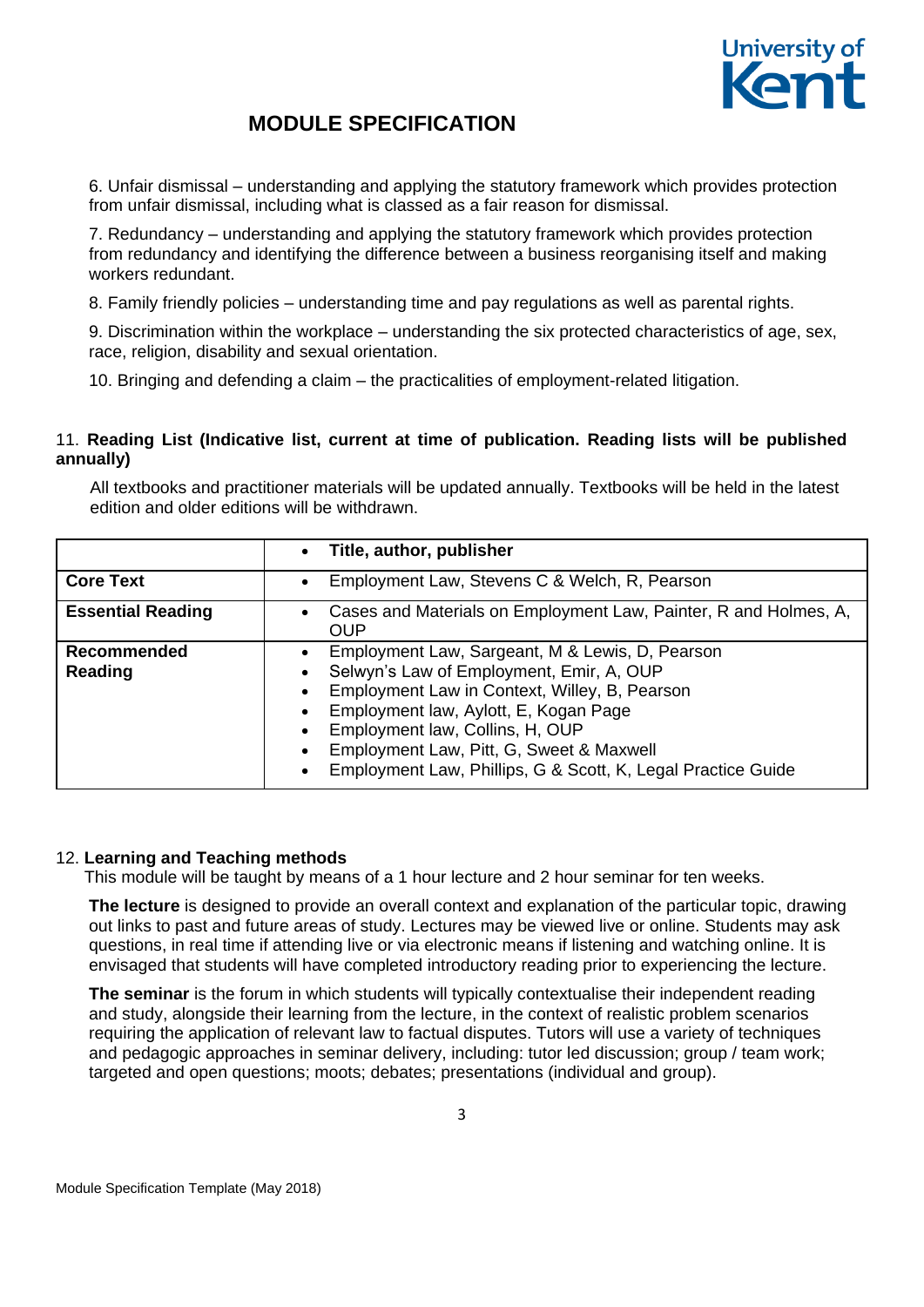

6. Unfair dismissal – understanding and applying the statutory framework which provides protection from unfair dismissal, including what is classed as a fair reason for dismissal.

7. Redundancy – understanding and applying the statutory framework which provides protection from redundancy and identifying the difference between a business reorganising itself and making workers redundant.

8. Family friendly policies – understanding time and pay regulations as well as parental rights.

9. Discrimination within the workplace – understanding the six protected characteristics of age, sex, race, religion, disability and sexual orientation.

10. Bringing and defending a claim – the practicalities of employment-related litigation.

### 11. **Reading List (Indicative list, current at time of publication. Reading lists will be published annually)**

All textbooks and practitioner materials will be updated annually. Textbooks will be held in the latest edition and older editions will be withdrawn.

|                               | Title, author, publisher                                                                                                                                                                                                                                                                                                             |
|-------------------------------|--------------------------------------------------------------------------------------------------------------------------------------------------------------------------------------------------------------------------------------------------------------------------------------------------------------------------------------|
| <b>Core Text</b>              | Employment Law, Stevens C & Welch, R, Pearson                                                                                                                                                                                                                                                                                        |
| <b>Essential Reading</b>      | Cases and Materials on Employment Law, Painter, R and Holmes, A,<br>OUP                                                                                                                                                                                                                                                              |
| <b>Recommended</b><br>Reading | Employment Law, Sargeant, M & Lewis, D, Pearson<br>Selwyn's Law of Employment, Emir, A, OUP<br>Employment Law in Context, Willey, B, Pearson<br>Employment law, Aylott, E, Kogan Page<br>Employment law, Collins, H, OUP<br>Employment Law, Pitt, G, Sweet & Maxwell<br>Employment Law, Phillips, G & Scott, K, Legal Practice Guide |

### 12. **Learning and Teaching methods**

This module will be taught by means of a 1 hour lecture and 2 hour seminar for ten weeks.

**The lecture** is designed to provide an overall context and explanation of the particular topic, drawing out links to past and future areas of study. Lectures may be viewed live or online. Students may ask questions, in real time if attending live or via electronic means if listening and watching online. It is envisaged that students will have completed introductory reading prior to experiencing the lecture.

**The seminar** is the forum in which students will typically contextualise their independent reading and study, alongside their learning from the lecture, in the context of realistic problem scenarios requiring the application of relevant law to factual disputes. Tutors will use a variety of techniques and pedagogic approaches in seminar delivery, including: tutor led discussion; group / team work; targeted and open questions; moots; debates; presentations (individual and group).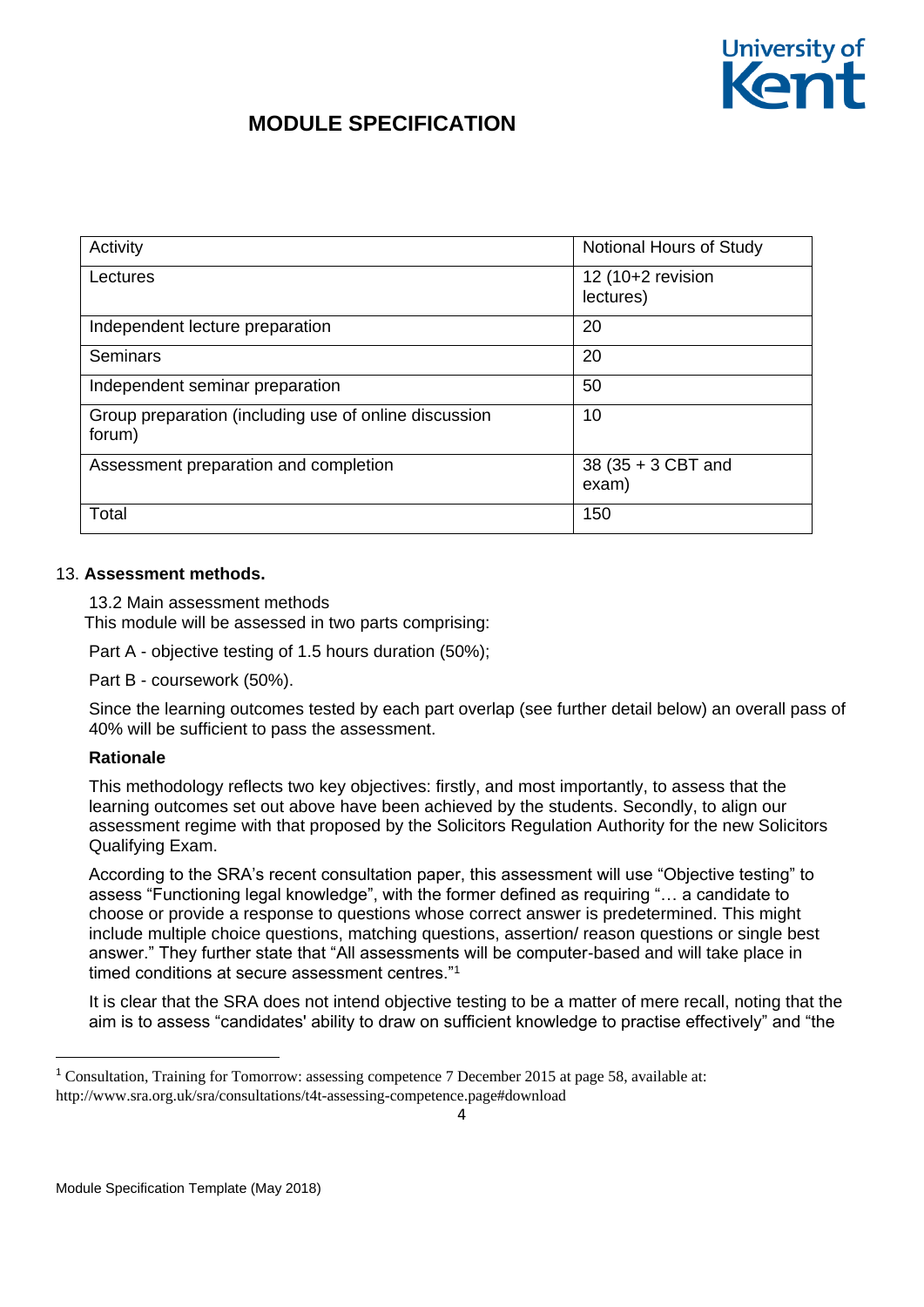

| Activity                                                        | Notional Hours of Study        |
|-----------------------------------------------------------------|--------------------------------|
| Lectures                                                        | 12 (10+2 revision<br>lectures) |
| Independent lecture preparation                                 | 20                             |
| <b>Seminars</b>                                                 | 20                             |
| Independent seminar preparation                                 | 50                             |
| Group preparation (including use of online discussion<br>forum) | 10                             |
| Assessment preparation and completion                           | 38 (35 + 3 CBT and<br>exam)    |
| Total                                                           | 150                            |

#### 13. **Assessment methods.**

13.2 Main assessment methods This module will be assessed in two parts comprising:

Part A - objective testing of 1.5 hours duration (50%);

Part B - coursework (50%).

Since the learning outcomes tested by each part overlap (see further detail below) an overall pass of 40% will be sufficient to pass the assessment.

### **Rationale**

1

This methodology reflects two key objectives: firstly, and most importantly, to assess that the learning outcomes set out above have been achieved by the students. Secondly, to align our assessment regime with that proposed by the Solicitors Regulation Authority for the new Solicitors Qualifying Exam.

According to the SRA's recent consultation paper, this assessment will use "Objective testing" to assess "Functioning legal knowledge", with the former defined as requiring "… a candidate to choose or provide a response to questions whose correct answer is predetermined. This might include multiple choice questions, matching questions, assertion/ reason questions or single best answer." They further state that "All assessments will be computer-based and will take place in timed conditions at secure assessment centres.<sup>"1</sup>

It is clear that the SRA does not intend objective testing to be a matter of mere recall, noting that the aim is to assess "candidates' ability to draw on sufficient knowledge to practise effectively" and "the

<sup>1</sup> Consultation, Training for Tomorrow: assessing competence 7 December 2015 at page 58, available at: http://www.sra.org.uk/sra/consultations/t4t-assessing-competence.page#download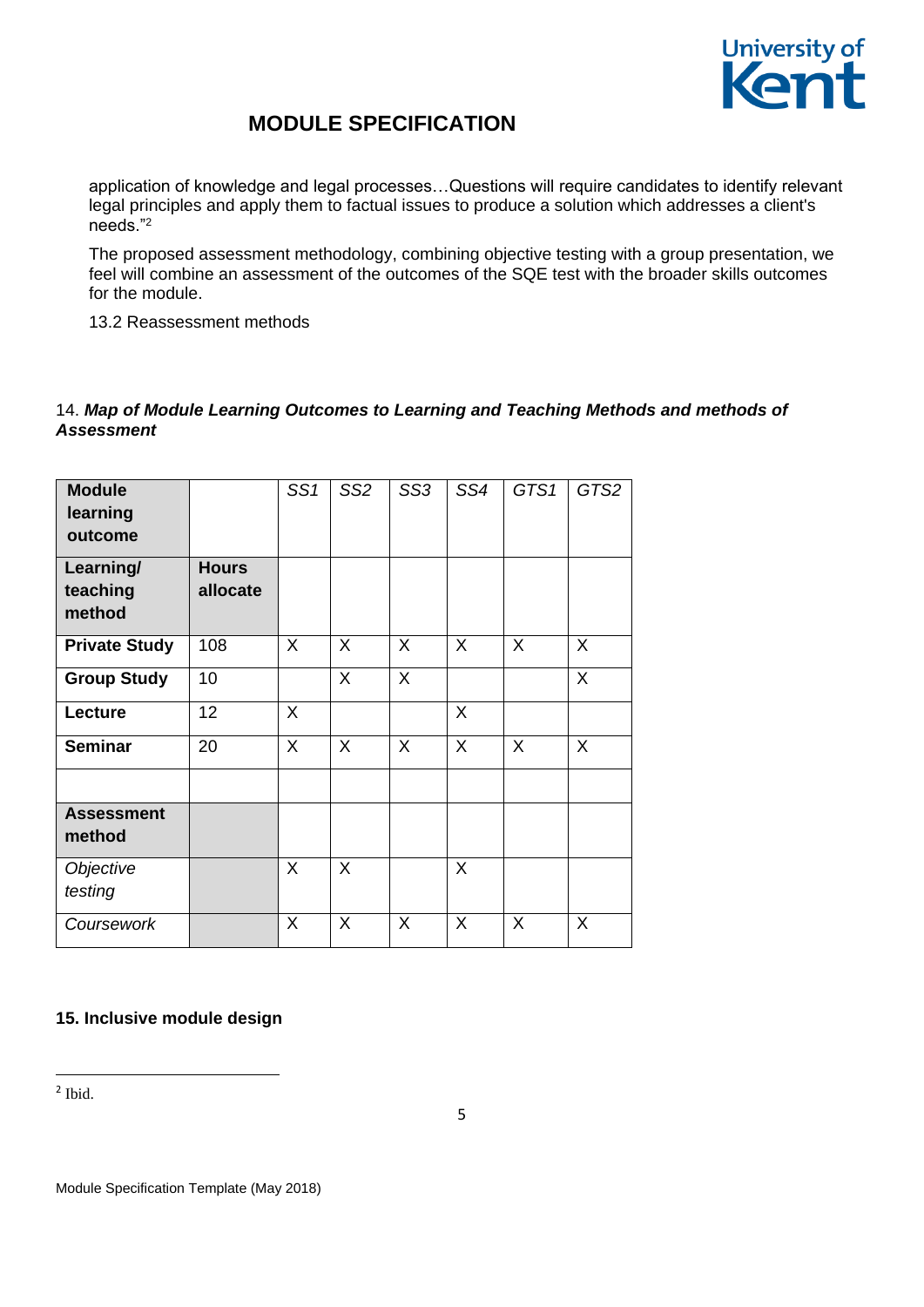

application of knowledge and legal processes…Questions will require candidates to identify relevant legal principles and apply them to factual issues to produce a solution which addresses a client's needs."<sup>2</sup>

The proposed assessment methodology, combining objective testing with a group presentation, we feel will combine an assessment of the outcomes of the SQE test with the broader skills outcomes for the module.

13.2 Reassessment methods

### 14. *Map of Module Learning Outcomes to Learning and Teaching Methods and methods of Assessment*

| <b>Module</b><br>learning<br>outcome |                          | SS1          | SS <sub>2</sub> | SS <sub>3</sub> | SS4          | GTS1 | GTS2 |
|--------------------------------------|--------------------------|--------------|-----------------|-----------------|--------------|------|------|
| Learning/<br>teaching<br>method      | <b>Hours</b><br>allocate |              |                 |                 |              |      |      |
| <b>Private Study</b>                 | 108                      | X            | $\sf X$         | X               | $\sf X$      | X    | X    |
| <b>Group Study</b>                   | 10                       |              | $\mathsf{X}$    | $\sf X$         |              |      | X    |
| Lecture                              | 12                       | $\mathsf{X}$ |                 |                 | X            |      |      |
| <b>Seminar</b>                       | 20                       | $\mathsf{X}$ | $\mathsf{X}$    | $\sf X$         | $\mathsf{X}$ | X    | X    |
| <b>Assessment</b><br>method          |                          |              |                 |                 |              |      |      |
| Objective<br>testing                 |                          | $\sf X$      | $\sf X$         |                 | X            |      |      |
| Coursework                           |                          | X            | X               | X               | X            | X    | X    |

### **15. Inclusive module design**

2 Ibid.

**.**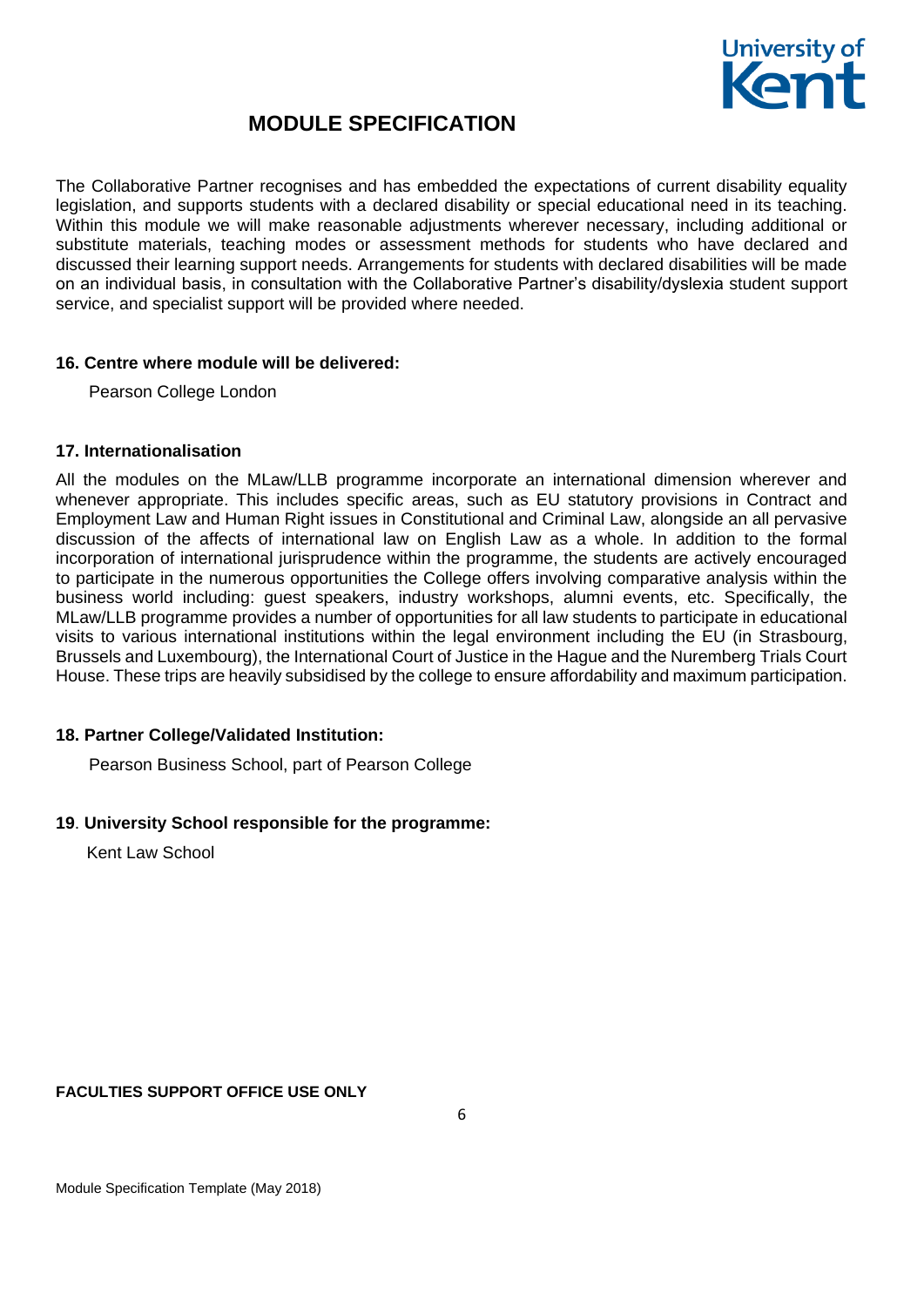

The Collaborative Partner recognises and has embedded the expectations of current disability equality legislation, and supports students with a declared disability or special educational need in its teaching. Within this module we will make reasonable adjustments wherever necessary, including additional or substitute materials, teaching modes or assessment methods for students who have declared and discussed their learning support needs. Arrangements for students with declared disabilities will be made on an individual basis, in consultation with the Collaborative Partner's disability/dyslexia student support service, and specialist support will be provided where needed.

#### **16. Centre where module will be delivered:**

Pearson College London

#### **17. Internationalisation**

All the modules on the MLaw/LLB programme incorporate an international dimension wherever and whenever appropriate. This includes specific areas, such as EU statutory provisions in Contract and Employment Law and Human Right issues in Constitutional and Criminal Law, alongside an all pervasive discussion of the affects of international law on English Law as a whole. In addition to the formal incorporation of international jurisprudence within the programme, the students are actively encouraged to participate in the numerous opportunities the College offers involving comparative analysis within the business world including: guest speakers, industry workshops, alumni events, etc. Specifically, the MLaw/LLB programme provides a number of opportunities for all law students to participate in educational visits to various international institutions within the legal environment including the EU (in Strasbourg, Brussels and Luxembourg), the International Court of Justice in the Hague and the Nuremberg Trials Court House. These trips are heavily subsidised by the college to ensure affordability and maximum participation.

### **18. Partner College/Validated Institution:**

Pearson Business School, part of Pearson College

### **19**. **University School responsible for the programme:**

Kent Law School

#### **FACULTIES SUPPORT OFFICE USE ONLY**